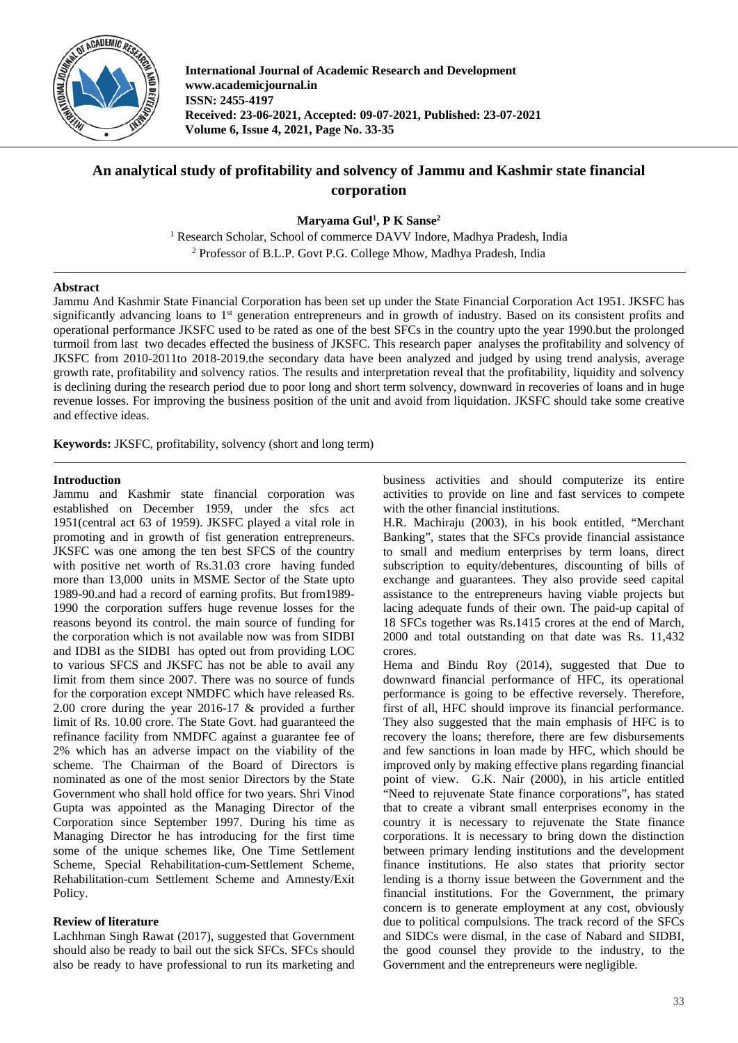

**International Journal of Academic Research and Development www.academicjournal.in ISSN: 2455-4197 Received: 23-06-2021, Accepted: 09-07-2021, Published: 23-07-2021 Volume 6, Issue 4, 2021, Page No. 33-35**

# **An analytical study of profitability and solvency of Jammu and Kashmir state financial corporation**

**Maryama Gul1 , P K Sanse2**

<sup>1</sup> Research Scholar, School of commerce DAVV Indore, Madhya Pradesh, India <sup>2</sup> Professor of B.L.P. Govt P.G. College Mhow, Madhya Pradesh, India

# **Abstract**

Jammu And Kashmir State Financial Corporation has been set up under the State Financial Corporation Act 1951. JKSFC has significantly advancing loans to 1<sup>st</sup> generation entrepreneurs and in growth of industry. Based on its consistent profits and operational performance JKSFC used to be rated as one of the best SFCs in the country upto the year 1990.but the prolonged turmoil from last two decades effected the business of JKSFC. This research paper analyses the profitability and solvency of JKSFC from 2010-2011to 2018-2019.the secondary data have been analyzed and judged by using trend analysis, average growth rate, profitability and solvency ratios. The results and interpretation reveal that the profitability, liquidity and solvency is declining during the research period due to poor long and short term solvency, downward in recoveries of loans and in huge revenue losses. For improving the business position of the unit and avoid from liquidation. JKSFC should take some creative and effective ideas.

**Keywords:** JKSFC, profitability, solvency (short and long term)

## **Introduction**

Jammu and Kashmir state financial corporation was established on December 1959, under the sfcs act 1951(central act 63 of 1959). JKSFC played a vital role in promoting and in growth of fist generation entrepreneurs. JKSFC was one among the ten best SFCS of the country with positive net worth of Rs.31.03 crore having funded more than 13,000 units in MSME Sector of the State upto 1989-90.and had a record of earning profits. But from1989- 1990 the corporation suffers huge revenue losses for the reasons beyond its control. the main source of funding for the corporation which is not available now was from SIDBI and IDBI as the SIDBI has opted out from providing LOC to various SFCS and JKSFC has not be able to avail any limit from them since 2007. There was no source of funds for the corporation except NMDFC which have released Rs. 2.00 crore during the year 2016-17 & provided a further limit of Rs. 10.00 crore. The State Govt. had guaranteed the refinance facility from NMDFC against a guarantee fee of 2% which has an adverse impact on the viability of the scheme. The Chairman of the Board of Directors is nominated as one of the most senior Directors by the State Government who shall hold office for two years. Shri Vinod Gupta was appointed as the Managing Director of the Corporation since September 1997. During his time as Managing Director he has introducing for the first time some of the unique schemes like, One Time Settlement Scheme, Special Rehabilitation-cum-Settlement Scheme, Rehabilitation-cum Settlement Scheme and Amnesty/Exit Policy.

# **Review of literature**

Lachhman Singh Rawat (2017), suggested that Government should also be ready to bail out the sick SFCs. SFCs should also be ready to have professional to run its marketing and business activities and should computerize its entire activities to provide on line and fast services to compete with the other financial institutions.

H.R. Machiraju (2003), in his book entitled, "Merchant Banking", states that the SFCs provide financial assistance to small and medium enterprises by term loans, direct subscription to equity/debentures, discounting of bills of exchange and guarantees. They also provide seed capital assistance to the entrepreneurs having viable projects but lacing adequate funds of their own. The paid-up capital of 18 SFCs together was Rs.1415 crores at the end of March, 2000 and total outstanding on that date was Rs. 11,432 crores.

Hema and Bindu Roy (2014), suggested that Due to downward financial performance of HFC, its operational performance is going to be effective reversely. Therefore, first of all, HFC should improve its financial performance. They also suggested that the main emphasis of HFC is to recovery the loans; therefore, there are few disbursements and few sanctions in loan made by HFC, which should be improved only by making effective plans regarding financial point of view. G.K. Nair (2000), in his article entitled "Need to rejuvenate State finance corporations", has stated that to create a vibrant small enterprises economy in the country it is necessary to rejuvenate the State finance corporations. It is necessary to bring down the distinction between primary lending institutions and the development finance institutions. He also states that priority sector lending is a thorny issue between the Government and the financial institutions. For the Government, the primary concern is to generate employment at any cost, obviously due to political compulsions. The track record of the SFCs and SIDCs were dismal, in the case of Nabard and SIDBI, the good counsel they provide to the industry, to the Government and the entrepreneurs were negligible.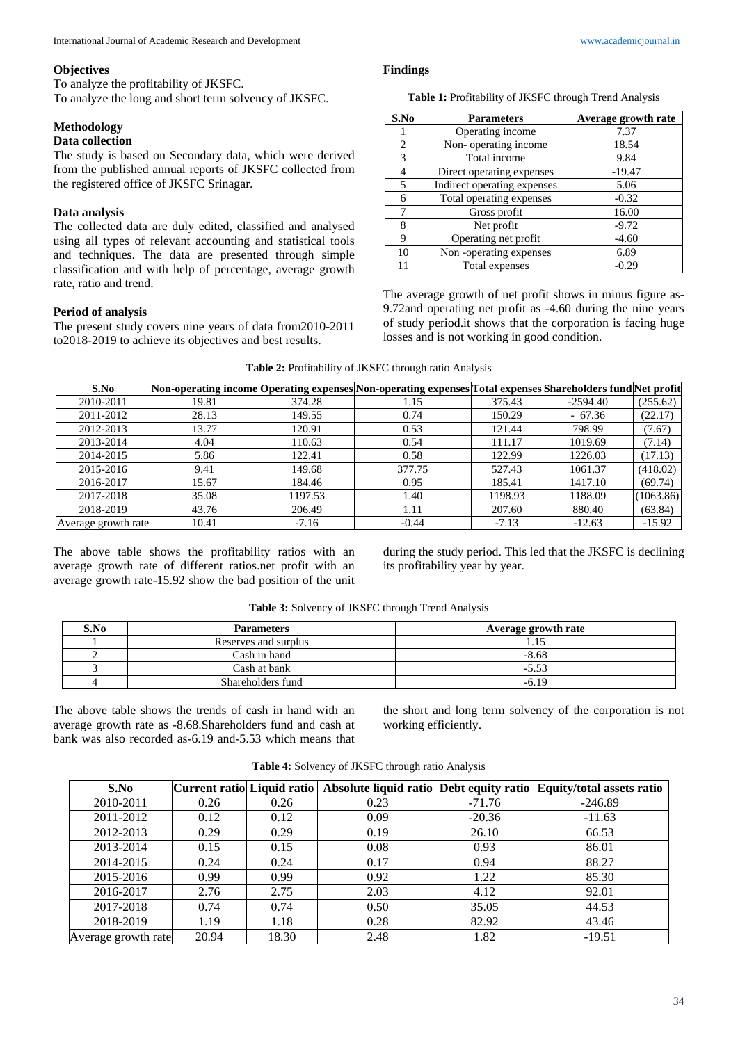#### **Objectives**

To analyze the profitability of JKSFC. To analyze the long and short term solvency of JKSFC.

**Methodology**

# **Data collection**

The study is based on Secondary data, which were derived from the published annual reports of JKSFC collected from the registered office of JKSFC Srinagar.

### **Data analysis**

The collected data are duly edited, classified and analysed using all types of relevant accounting and statistical tools and techniques. The data are presented through simple classification and with help of percentage, average growth rate, ratio and trend.

### **Period of analysis**

The present study covers nine years of data from2010-2011 to2018-2019 to achieve its objectives and best results.

#### **Findings**

**Table 1:** Profitability of JKSFC through Trend Analysis

| S.No           | <b>Parameters</b>           | Average growth rate |
|----------------|-----------------------------|---------------------|
|                | Operating income            | 7.37                |
| $\overline{c}$ | Non-operating income        | 18.54               |
| 3              | Total income                | 9.84                |
| 4              | Direct operating expenses   | $-19.47$            |
| $\overline{5}$ | Indirect operating expenses | 5.06                |
| 6              | Total operating expenses    | $-0.32$             |
| 7              | Gross profit                | 16.00               |
| 8              | Net profit                  | $-9.72$             |
| 9              | Operating net profit        | $-4.60$             |
| 10             | Non-operating expenses      | 6.89                |
|                | Total expenses              | $-0.29$             |

The average growth of net profit shows in minus figure as-9.72and operating net profit as -4.60 during the nine years of study period.it shows that the corporation is facing huge losses and is not working in good condition.

|  |  |  | Table 2: Profitability of JKSFC through ratio Analysis |  |
|--|--|--|--------------------------------------------------------|--|
|--|--|--|--------------------------------------------------------|--|

| S.No                |       |         | Non-operating income Operating expenses Non-operating expenses Total expenses Shareholders fund Net profit |         |            |           |
|---------------------|-------|---------|------------------------------------------------------------------------------------------------------------|---------|------------|-----------|
| 2010-2011           | 19.81 | 374.28  | 1.15                                                                                                       | 375.43  | $-2594.40$ | (255.62)  |
| 2011-2012           | 28.13 | 149.55  | 0.74                                                                                                       | 150.29  | - 67.36    | (22.17)   |
| 2012-2013           | 13.77 | 120.91  | 0.53                                                                                                       | 121.44  | 798.99     | (7.67)    |
| 2013-2014           | 4.04  | 110.63  | 0.54                                                                                                       | 111.17  | 1019.69    | (7.14)    |
| 2014-2015           | 5.86  | 122.41  | 0.58                                                                                                       | 122.99  | 1226.03    | (17.13)   |
| 2015-2016           | 9.41  | 149.68  | 377.75                                                                                                     | 527.43  | 1061.37    | (418.02)  |
| 2016-2017           | 15.67 | 184.46  | 0.95                                                                                                       | 185.41  | 1417.10    | (69.74)   |
| 2017-2018           | 35.08 | 1197.53 | 1.40                                                                                                       | 1198.93 | 1188.09    | (1063.86) |
| 2018-2019           | 43.76 | 206.49  | 1.11                                                                                                       | 207.60  | 880.40     | (63.84)   |
| Average growth rate | 10.41 | $-7.16$ | $-0.44$                                                                                                    | $-7.13$ | $-12.63$   | $-15.92$  |

The above table shows the profitability ratios with an average growth rate of different ratios.net profit with an average growth rate-15.92 show the bad position of the unit during the study period. This led that the JKSFC is declining its profitability year by year.

| S.No | <b>Parameters</b>    | Average growth rate |
|------|----------------------|---------------------|
|      | Reserves and surplus |                     |
|      | Cash in hand         | $-8.68$             |
|      | Cash at bank         | $-5.53$             |
|      | Shareholders fund    | $-6.19$             |

**Table 3:** Solvency of JKSFC through Trend Analysis

The above table shows the trends of cash in hand with an average growth rate as -8.68.Shareholders fund and cash at bank was also recorded as-6.19 and-5.53 which means that

the short and long term solvency of the corporation is not working efficiently.

| S.No                | Current ratio  Liquid ratio |       |      |          | Absolute liquid ratio Debt equity ratio Equity/total assets ratio |
|---------------------|-----------------------------|-------|------|----------|-------------------------------------------------------------------|
| 2010-2011           | 0.26                        | 0.26  | 0.23 | $-71.76$ | $-246.89$                                                         |
| 2011-2012           | 0.12                        | 0.12  | 0.09 | $-20.36$ | $-11.63$                                                          |
| 2012-2013           | 0.29                        | 0.29  | 0.19 | 26.10    | 66.53                                                             |
| 2013-2014           | 0.15                        | 0.15  | 0.08 | 0.93     | 86.01                                                             |
| 2014-2015           | 0.24                        | 0.24  | 0.17 | 0.94     | 88.27                                                             |
| 2015-2016           | 0.99                        | 0.99  | 0.92 | 1.22     | 85.30                                                             |
| 2016-2017           | 2.76                        | 2.75  | 2.03 | 4.12     | 92.01                                                             |
| 2017-2018           | 0.74                        | 0.74  | 0.50 | 35.05    | 44.53                                                             |
| 2018-2019           | 1.19                        | 1.18  | 0.28 | 82.92    | 43.46                                                             |
| Average growth rate | 20.94                       | 18.30 | 2.48 | 1.82     | $-19.51$                                                          |

**Table 4:** Solvency of JKSFC through ratio Analysis